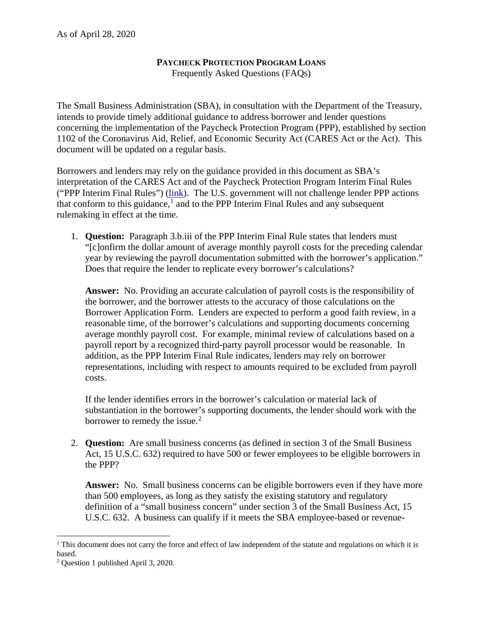## **PAYCHECK PROTECTION PROGRAM LOANS**

Frequently Asked Questions (FAQs)

The Small Business Administration (SBA), in consultation with the Department of the Treasury, intends to provide timely additional guidance to address borrower and lender questions concerning the implementation of the Paycheck Protection Program (PPP), established by section 1102 of the Coronavirus Aid, Relief, and Economic Security Act (CARES Act or the Act). This document will be updated on a regular basis.

Borrowers and lenders may rely on the guidance provided in this document as SBA's interpretation of the CARES Act and of the Paycheck Protection Program Interim Final Rules ("PPP Interim Final Rules") [\(link\)](https://home.treasury.gov/policy-issues/cares/assistance-for-small-businesses). The U.S. government will not challenge lender PPP actions that conform to this guidance,<sup>[1](#page-0-0)</sup> and to the PPP Interim Final Rules and any subsequent rulemaking in effect at the time.

1. **Question:** Paragraph 3.b.iii of the PPP Interim Final Rule states that lenders must "[c]onfirm the dollar amount of average monthly payroll costs for the preceding calendar year by reviewing the payroll documentation submitted with the borrower's application." Does that require the lender to replicate every borrower's calculations?

**Answer:** No. Providing an accurate calculation of payroll costs is the responsibility of the borrower, and the borrower attests to the accuracy of those calculations on the Borrower Application Form. Lenders are expected to perform a good faith review, in a reasonable time, of the borrower's calculations and supporting documents concerning average monthly payroll cost. For example, minimal review of calculations based on a payroll report by a recognized third-party payroll processor would be reasonable. In addition, as the PPP Interim Final Rule indicates, lenders may rely on borrower representations, including with respect to amounts required to be excluded from payroll costs.

If the lender identifies errors in the borrower's calculation or material lack of substantiation in the borrower's supporting documents, the lender should work with the borrower to remedy the issue. $2$ 

2. **Question:** Are small business concerns (as defined in section 3 of the Small Business Act, 15 U.S.C. 632) required to have 500 or fewer employees to be eligible borrowers in the PPP?

**Answer:** No. Small business concerns can be eligible borrowers even if they have more than 500 employees, as long as they satisfy the existing statutory and regulatory definition of a "small business concern" under section 3 of the Small Business Act, 15 U.S.C. 632. A business can qualify if it meets the SBA employee-based or revenue-

<span id="page-0-0"></span> $\overline{a}$  $1$ . This document does not carry the force and effect of law independent of the statute and regulations on which it is based.

<span id="page-0-1"></span><sup>2</sup> Question 1 published April 3, 2020.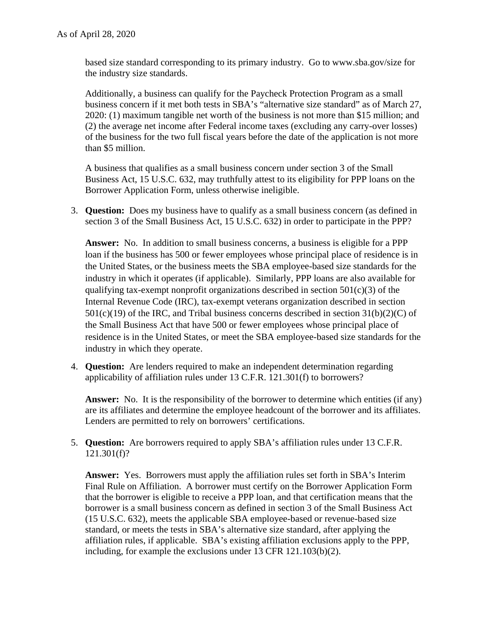based size standard corresponding to its primary industry. Go to www.sba.gov/size for the industry size standards.

Additionally, a business can qualify for the Paycheck Protection Program as a small business concern if it met both tests in SBA's "alternative size standard" as of March 27, 2020: (1) maximum tangible net worth of the business is not more than \$15 million; and (2) the average net income after Federal income taxes (excluding any carry-over losses) of the business for the two full fiscal years before the date of the application is not more than \$5 million.

A business that qualifies as a small business concern under section 3 of the Small Business Act, 15 U.S.C. 632, may truthfully attest to its eligibility for PPP loans on the Borrower Application Form, unless otherwise ineligible.

3. **Question:** Does my business have to qualify as a small business concern (as defined in section 3 of the Small Business Act, 15 U.S.C. 632) in order to participate in the PPP?

**Answer:** No. In addition to small business concerns, a business is eligible for a PPP loan if the business has 500 or fewer employees whose principal place of residence is in the United States, or the business meets the SBA employee-based size standards for the industry in which it operates (if applicable). Similarly, PPP loans are also available for qualifying tax-exempt nonprofit organizations described in section  $501(c)(3)$  of the Internal Revenue Code (IRC), tax-exempt veterans organization described in section  $501(c)(19)$  of the IRC, and Tribal business concerns described in section  $31(b)(2)(C)$  of the Small Business Act that have 500 or fewer employees whose principal place of residence is in the United States, or meet the SBA employee-based size standards for the industry in which they operate.

4. **Question:** Are lenders required to make an independent determination regarding applicability of affiliation rules under 13 C.F.R. 121.301(f) to borrowers?

**Answer:** No. It is the responsibility of the borrower to determine which entities (if any) are its affiliates and determine the employee headcount of the borrower and its affiliates. Lenders are permitted to rely on borrowers' certifications.

5. **Question:** Are borrowers required to apply SBA's affiliation rules under 13 C.F.R. 121.301(f)?

**Answer:** Yes. Borrowers must apply the affiliation rules set forth in SBA's Interim Final Rule on Affiliation. A borrower must certify on the Borrower Application Form that the borrower is eligible to receive a PPP loan, and that certification means that the borrower is a small business concern as defined in section 3 of the Small Business Act (15 U.S.C. 632), meets the applicable SBA employee-based or revenue-based size standard, or meets the tests in SBA's alternative size standard, after applying the affiliation rules, if applicable. SBA's existing affiliation exclusions apply to the PPP, including, for example the exclusions under 13 CFR 121.103(b)(2).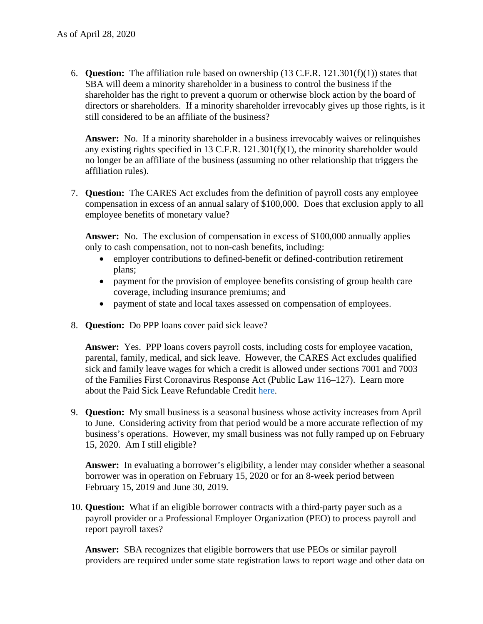6. **Question:** The affiliation rule based on ownership (13 C.F.R. 121.301(f)(1)) states that SBA will deem a minority shareholder in a business to control the business if the shareholder has the right to prevent a quorum or otherwise block action by the board of directors or shareholders. If a minority shareholder irrevocably gives up those rights, is it still considered to be an affiliate of the business?

**Answer:** No. If a minority shareholder in a business irrevocably waives or relinquishes any existing rights specified in 13 C.F.R. 121.301(f)(1), the minority shareholder would no longer be an affiliate of the business (assuming no other relationship that triggers the affiliation rules).

7. **Question:** The CARES Act excludes from the definition of payroll costs any employee compensation in excess of an annual salary of \$100,000. Does that exclusion apply to all employee benefits of monetary value?

**Answer:** No. The exclusion of compensation in excess of \$100,000 annually applies only to cash compensation, not to non-cash benefits, including:

- employer contributions to defined-benefit or defined-contribution retirement plans;
- payment for the provision of employee benefits consisting of group health care coverage, including insurance premiums; and
- payment of state and local taxes assessed on compensation of employees.
- 8. **Question:** Do PPP loans cover paid sick leave?

**Answer:** Yes. PPP loans covers payroll costs, including costs for employee vacation, parental, family, medical, and sick leave. However, the CARES Act excludes qualified sick and family leave wages for which a credit is allowed under sections 7001 and 7003 of the Families First Coronavirus Response Act (Public Law 116–127). Learn more about the Paid Sick Leave Refundable Credit [here.](https://www.irs.gov/newsroom/covid-19-related-tax-credits-for-required-paid-leave-provided-by-small-and-midsize-businesses-faqs)

9. **Question:** My small business is a seasonal business whose activity increases from April to June. Considering activity from that period would be a more accurate reflection of my business's operations. However, my small business was not fully ramped up on February 15, 2020. Am I still eligible?

**Answer:** In evaluating a borrower's eligibility, a lender may consider whether a seasonal borrower was in operation on February 15, 2020 or for an 8-week period between February 15, 2019 and June 30, 2019.

10. **Question:** What if an eligible borrower contracts with a third-party payer such as a payroll provider or a Professional Employer Organization (PEO) to process payroll and report payroll taxes?

**Answer:** SBA recognizes that eligible borrowers that use PEOs or similar payroll providers are required under some state registration laws to report wage and other data on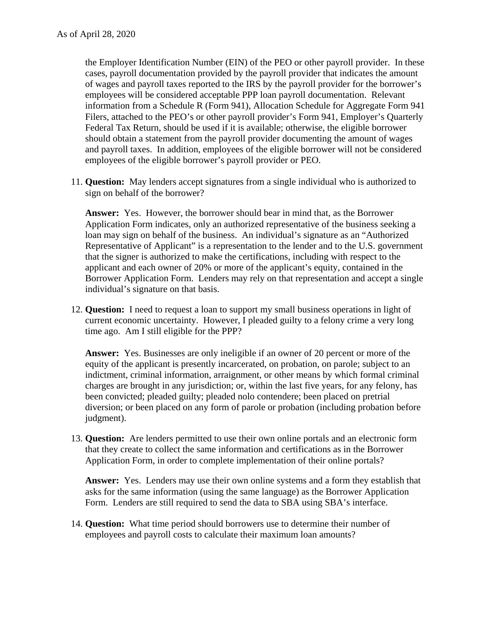the Employer Identification Number (EIN) of the PEO or other payroll provider. In these cases, payroll documentation provided by the payroll provider that indicates the amount of wages and payroll taxes reported to the IRS by the payroll provider for the borrower's employees will be considered acceptable PPP loan payroll documentation. Relevant information from a Schedule R (Form 941), Allocation Schedule for Aggregate Form 941 Filers, attached to the PEO's or other payroll provider's Form 941, Employer's Quarterly Federal Tax Return, should be used if it is available; otherwise, the eligible borrower should obtain a statement from the payroll provider documenting the amount of wages and payroll taxes. In addition, employees of the eligible borrower will not be considered employees of the eligible borrower's payroll provider or PEO.

11. **Question:** May lenders accept signatures from a single individual who is authorized to sign on behalf of the borrower?

**Answer:** Yes. However, the borrower should bear in mind that, as the Borrower Application Form indicates, only an authorized representative of the business seeking a loan may sign on behalf of the business. An individual's signature as an "Authorized Representative of Applicant" is a representation to the lender and to the U.S. government that the signer is authorized to make the certifications, including with respect to the applicant and each owner of 20% or more of the applicant's equity, contained in the Borrower Application Form. Lenders may rely on that representation and accept a single individual's signature on that basis.

12. **Question:** I need to request a loan to support my small business operations in light of current economic uncertainty. However, I pleaded guilty to a felony crime a very long time ago. Am I still eligible for the PPP?

**Answer:** Yes. Businesses are only ineligible if an owner of 20 percent or more of the equity of the applicant is presently incarcerated, on probation, on parole; subject to an indictment, criminal information, arraignment, or other means by which formal criminal charges are brought in any jurisdiction; or, within the last five years, for any felony, has been convicted; pleaded guilty; pleaded nolo contendere; been placed on pretrial diversion; or been placed on any form of parole or probation (including probation before judgment).

13. **Question:** Are lenders permitted to use their own online portals and an electronic form that they create to collect the same information and certifications as in the Borrower Application Form, in order to complete implementation of their online portals?

**Answer:** Yes. Lenders may use their own online systems and a form they establish that asks for the same information (using the same language) as the Borrower Application Form. Lenders are still required to send the data to SBA using SBA's interface.

14. **Question:** What time period should borrowers use to determine their number of employees and payroll costs to calculate their maximum loan amounts?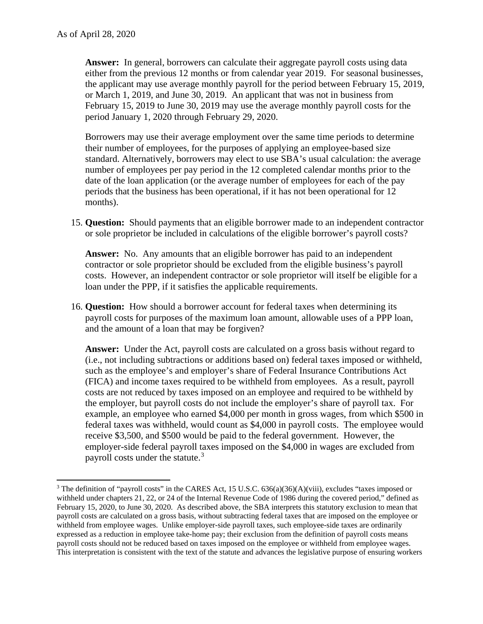$\overline{a}$ 

**Answer:** In general, borrowers can calculate their aggregate payroll costs using data either from the previous 12 months or from calendar year 2019. For seasonal businesses, the applicant may use average monthly payroll for the period between February 15, 2019, or March 1, 2019, and June 30, 2019. An applicant that was not in business from February 15, 2019 to June 30, 2019 may use the average monthly payroll costs for the period January 1, 2020 through February 29, 2020.

Borrowers may use their average employment over the same time periods to determine their number of employees, for the purposes of applying an employee-based size standard. Alternatively, borrowers may elect to use SBA's usual calculation: the average number of employees per pay period in the 12 completed calendar months prior to the date of the loan application (or the average number of employees for each of the pay periods that the business has been operational, if it has not been operational for 12 months).

15. **Question:** Should payments that an eligible borrower made to an independent contractor or sole proprietor be included in calculations of the eligible borrower's payroll costs?

**Answer:** No. Any amounts that an eligible borrower has paid to an independent contractor or sole proprietor should be excluded from the eligible business's payroll costs. However, an independent contractor or sole proprietor will itself be eligible for a loan under the PPP, if it satisfies the applicable requirements.

16. **Question:** How should a borrower account for federal taxes when determining its payroll costs for purposes of the maximum loan amount, allowable uses of a PPP loan, and the amount of a loan that may be forgiven?

**Answer:** Under the Act, payroll costs are calculated on a gross basis without regard to (i.e., not including subtractions or additions based on) federal taxes imposed or withheld, such as the employee's and employer's share of Federal Insurance Contributions Act (FICA) and income taxes required to be withheld from employees. As a result, payroll costs are not reduced by taxes imposed on an employee and required to be withheld by the employer, but payroll costs do not include the employer's share of payroll tax. For example, an employee who earned \$4,000 per month in gross wages, from which \$500 in federal taxes was withheld, would count as \$4,000 in payroll costs. The employee would receive \$3,500, and \$500 would be paid to the federal government. However, the employer-side federal payroll taxes imposed on the \$4,000 in wages are excluded from payroll costs under the statute.<sup>[3](#page-4-0)</sup>

<span id="page-4-0"></span><sup>&</sup>lt;sup>3</sup> The definition of "payroll costs" in the CARES Act, 15 U.S.C.  $636(a)(36)(A)(viii)$ , excludes "taxes imposed or withheld under chapters 21, 22, or 24 of the Internal Revenue Code of 1986 during the covered period," defined as February 15, 2020, to June 30, 2020. As described above, the SBA interprets this statutory exclusion to mean that payroll costs are calculated on a gross basis, without subtracting federal taxes that are imposed on the employee or withheld from employee wages. Unlike employer-side payroll taxes, such employee-side taxes are ordinarily expressed as a reduction in employee take-home pay; their exclusion from the definition of payroll costs means payroll costs should not be reduced based on taxes imposed on the employee or withheld from employee wages. This interpretation is consistent with the text of the statute and advances the legislative purpose of ensuring workers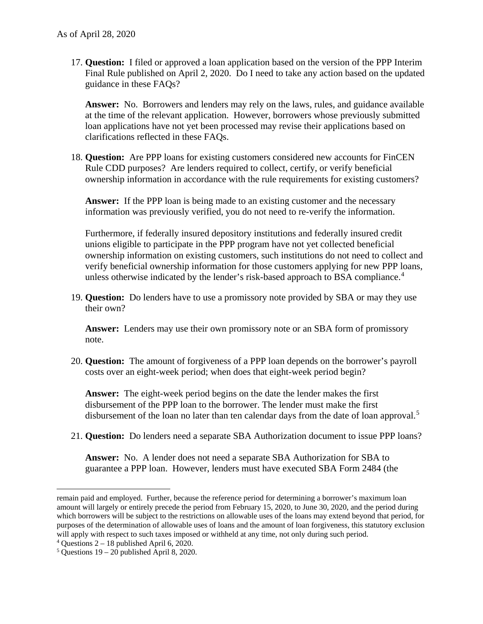17. **Question:** I filed or approved a loan application based on the version of the PPP Interim Final Rule published on April 2, 2020. Do I need to take any action based on the updated guidance in these FAQs?

**Answer:** No. Borrowers and lenders may rely on the laws, rules, and guidance available at the time of the relevant application. However, borrowers whose previously submitted loan applications have not yet been processed may revise their applications based on clarifications reflected in these FAQs.

18. **Question:** Are PPP loans for existing customers considered new accounts for FinCEN Rule CDD purposes? Are lenders required to collect, certify, or verify beneficial ownership information in accordance with the rule requirements for existing customers?

**Answer:** If the PPP loan is being made to an existing customer and the necessary information was previously verified, you do not need to re-verify the information.

Furthermore, if federally insured depository institutions and federally insured credit unions eligible to participate in the PPP program have not yet collected beneficial ownership information on existing customers, such institutions do not need to collect and verify beneficial ownership information for those customers applying for new PPP loans, unless otherwise indicated by the lender's risk-based approach to BSA compliance.<sup>[4](#page-5-0)</sup>

19. **Question:** Do lenders have to use a promissory note provided by SBA or may they use their own?

**Answer:** Lenders may use their own promissory note or an SBA form of promissory note.

20. **Question:** The amount of forgiveness of a PPP loan depends on the borrower's payroll costs over an eight-week period; when does that eight-week period begin?

**Answer:** The eight-week period begins on the date the lender makes the first disbursement of the PPP loan to the borrower. The lender must make the first disbursement of the loan no later than ten calendar days from the date of loan approval.<sup>[5](#page-5-1)</sup>

21. **Question:** Do lenders need a separate SBA Authorization document to issue PPP loans?

**Answer:** No. A lender does not need a separate SBA Authorization for SBA to guarantee a PPP loan. However, lenders must have executed SBA Form 2484 (the

 $\overline{\phantom{a}}$ 

remain paid and employed. Further, because the reference period for determining a borrower's maximum loan amount will largely or entirely precede the period from February 15, 2020, to June 30, 2020, and the period during which borrowers will be subject to the restrictions on allowable uses of the loans may extend beyond that period, for purposes of the determination of allowable uses of loans and the amount of loan forgiveness, this statutory exclusion will apply with respect to such taxes imposed or withheld at any time, not only during such period.<br><sup>4</sup> Ouestions 2 – 18 published April 6, 2020.

<span id="page-5-0"></span>

<span id="page-5-1"></span> $5$  Questions  $19 - 20$  published April 8, 2020.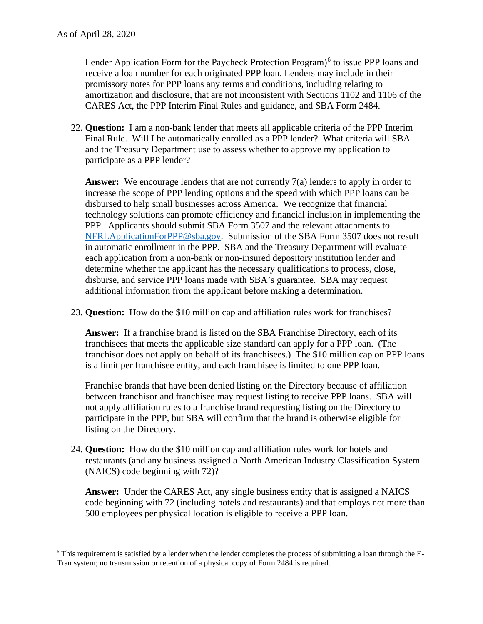$\overline{\phantom{a}}$ 

Lender Application Form for the Paycheck Protection Program)<sup>[6](#page-6-0)</sup> to issue PPP loans and receive a loan number for each originated PPP loan. Lenders may include in their promissory notes for PPP loans any terms and conditions, including relating to amortization and disclosure, that are not inconsistent with Sections 1102 and 1106 of the CARES Act, the PPP Interim Final Rules and guidance, and SBA Form 2484.

22. **Question:** I am a non-bank lender that meets all applicable criteria of the PPP Interim Final Rule. Will I be automatically enrolled as a PPP lender? What criteria will SBA and the Treasury Department use to assess whether to approve my application to participate as a PPP lender?

Answer: We encourage lenders that are not currently 7(a) lenders to apply in order to increase the scope of PPP lending options and the speed with which PPP loans can be disbursed to help small businesses across America. We recognize that financial technology solutions can promote efficiency and financial inclusion in implementing the PPP. Applicants should submit SBA Form 3507 and the relevant attachments to [NFRLApplicationForPPP@sba.gov.](mailto:NFRLApplicationForPPP@sba.gov) Submission of the SBA Form 3507 does not result in automatic enrollment in the PPP. SBA and the Treasury Department will evaluate each application from a non-bank or non-insured depository institution lender and determine whether the applicant has the necessary qualifications to process, close, disburse, and service PPP loans made with SBA's guarantee. SBA may request additional information from the applicant before making a determination.

23. **Question:** How do the \$10 million cap and affiliation rules work for franchises?

**Answer:** If a franchise brand is listed on the SBA Franchise Directory, each of its franchisees that meets the applicable size standard can apply for a PPP loan. (The franchisor does not apply on behalf of its franchisees.) The \$10 million cap on PPP loans is a limit per franchisee entity, and each franchisee is limited to one PPP loan.

Franchise brands that have been denied listing on the Directory because of affiliation between franchisor and franchisee may request listing to receive PPP loans. SBA will not apply affiliation rules to a franchise brand requesting listing on the Directory to participate in the PPP, but SBA will confirm that the brand is otherwise eligible for listing on the Directory.

24. **Question:** How do the \$10 million cap and affiliation rules work for hotels and restaurants (and any business assigned a North American Industry Classification System (NAICS) code beginning with 72)?

**Answer:** Under the CARES Act, any single business entity that is assigned a NAICS code beginning with 72 (including hotels and restaurants) and that employs not more than 500 employees per physical location is eligible to receive a PPP loan.

<span id="page-6-0"></span><sup>6</sup> This requirement is satisfied by a lender when the lender completes the process of submitting a loan through the E-Tran system; no transmission or retention of a physical copy of Form 2484 is required.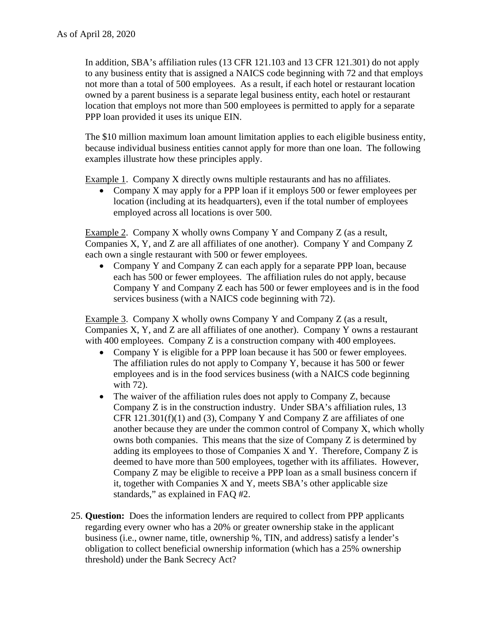In addition, SBA's affiliation rules (13 CFR 121.103 and 13 CFR 121.301) do not apply to any business entity that is assigned a NAICS code beginning with 72 and that employs not more than a total of 500 employees. As a result, if each hotel or restaurant location owned by a parent business is a separate legal business entity, each hotel or restaurant location that employs not more than 500 employees is permitted to apply for a separate PPP loan provided it uses its unique EIN.

The \$10 million maximum loan amount limitation applies to each eligible business entity, because individual business entities cannot apply for more than one loan. The following examples illustrate how these principles apply.

Example 1. Company X directly owns multiple restaurants and has no affiliates.

• Company X may apply for a PPP loan if it employs 500 or fewer employees per location (including at its headquarters), even if the total number of employees employed across all locations is over 500.

Example 2. Company X wholly owns Company Y and Company Z (as a result, Companies X, Y, and Z are all affiliates of one another). Company Y and Company Z each own a single restaurant with 500 or fewer employees.

• Company Y and Company Z can each apply for a separate PPP loan, because each has 500 or fewer employees. The affiliation rules do not apply, because Company Y and Company Z each has 500 or fewer employees and is in the food services business (with a NAICS code beginning with 72).

Example 3. Company X wholly owns Company Y and Company Z (as a result, Companies X, Y, and Z are all affiliates of one another). Company Y owns a restaurant with 400 employees. Company Z is a construction company with 400 employees.

- Company Y is eligible for a PPP loan because it has 500 or fewer employees. The affiliation rules do not apply to Company Y, because it has 500 or fewer employees and is in the food services business (with a NAICS code beginning with 72).
- The waiver of the affiliation rules does not apply to Company Z, because Company Z is in the construction industry. Under SBA's affiliation rules, 13 CFR 121.301(f)(1) and (3), Company Y and Company Z are affiliates of one another because they are under the common control of Company X, which wholly owns both companies. This means that the size of Company Z is determined by adding its employees to those of Companies X and Y. Therefore, Company Z is deemed to have more than 500 employees, together with its affiliates. However, Company Z may be eligible to receive a PPP loan as a small business concern if it, together with Companies X and Y, meets SBA's other applicable size standards," as explained in FAQ #2.
- 25. **Question:** Does the information lenders are required to collect from PPP applicants regarding every owner who has a 20% or greater ownership stake in the applicant business (i.e., owner name, title, ownership %, TIN, and address) satisfy a lender's obligation to collect beneficial ownership information (which has a 25% ownership threshold) under the Bank Secrecy Act?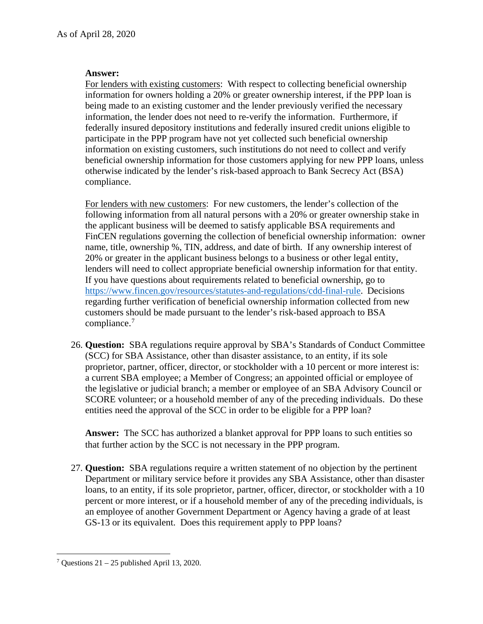## **Answer:**

For lenders with existing customers: With respect to collecting beneficial ownership information for owners holding a 20% or greater ownership interest, if the PPP loan is being made to an existing customer and the lender previously verified the necessary information, the lender does not need to re-verify the information. Furthermore, if federally insured depository institutions and federally insured credit unions eligible to participate in the PPP program have not yet collected such beneficial ownership information on existing customers, such institutions do not need to collect and verify beneficial ownership information for those customers applying for new PPP loans, unless otherwise indicated by the lender's risk-based approach to Bank Secrecy Act (BSA) compliance.

For lenders with new customers: For new customers, the lender's collection of the following information from all natural persons with a 20% or greater ownership stake in the applicant business will be deemed to satisfy applicable BSA requirements and FinCEN regulations governing the collection of beneficial ownership information: owner name, title, ownership %, TIN, address, and date of birth. If any ownership interest of 20% or greater in the applicant business belongs to a business or other legal entity, lenders will need to collect appropriate beneficial ownership information for that entity. If you have questions about requirements related to beneficial ownership, go to [https://www.fincen.gov/resources/statutes-and-regulations/cdd-final-rule.](https://www.fincen.gov/resources/statutes-and-regulations/cdd-final-rule) Decisions regarding further verification of beneficial ownership information collected from new customers should be made pursuant to the lender's risk-based approach to BSA compliance.<sup>[7](#page-8-0)</sup>

26. **Question:** SBA regulations require approval by SBA's Standards of Conduct Committee (SCC) for SBA Assistance, other than disaster assistance, to an entity, if its sole proprietor, partner, officer, director, or stockholder with a 10 percent or more interest is: a current SBA employee; a Member of Congress; an appointed official or employee of the legislative or judicial branch; a member or employee of an SBA Advisory Council or SCORE volunteer; or a household member of any of the preceding individuals. Do these entities need the approval of the SCC in order to be eligible for a PPP loan?

**Answer:** The SCC has authorized a blanket approval for PPP loans to such entities so that further action by the SCC is not necessary in the PPP program.

27. **Question:** SBA regulations require a written statement of no objection by the pertinent Department or military service before it provides any SBA Assistance, other than disaster loans, to an entity, if its sole proprietor, partner, officer, director, or stockholder with a 10 percent or more interest, or if a household member of any of the preceding individuals, is an employee of another Government Department or Agency having a grade of at least GS-13 or its equivalent. Does this requirement apply to PPP loans?

<span id="page-8-0"></span>l  $7$  Questions  $21 - 25$  published April 13, 2020.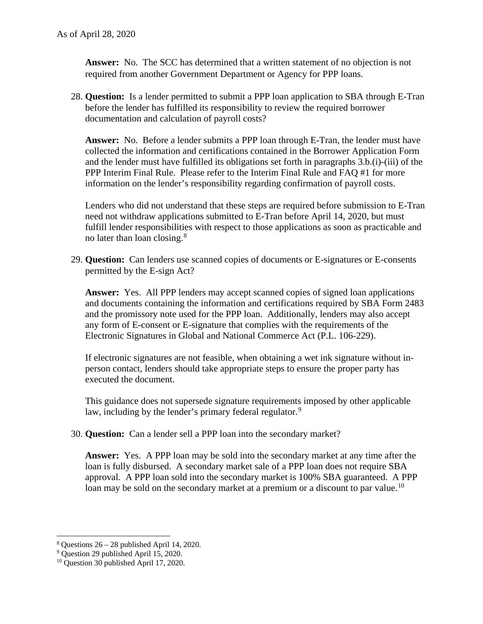**Answer:** No. The SCC has determined that a written statement of no objection is not required from another Government Department or Agency for PPP loans.

28. **Question:** Is a lender permitted to submit a PPP loan application to SBA through E-Tran before the lender has fulfilled its responsibility to review the required borrower documentation and calculation of payroll costs?

**Answer:** No. Before a lender submits a PPP loan through E-Tran, the lender must have collected the information and certifications contained in the Borrower Application Form and the lender must have fulfilled its obligations set forth in paragraphs 3.b.(i)-(iii) of the PPP Interim Final Rule. Please refer to the Interim Final Rule and FAQ #1 for more information on the lender's responsibility regarding confirmation of payroll costs.

Lenders who did not understand that these steps are required before submission to E-Tran need not withdraw applications submitted to E-Tran before April 14, 2020, but must fulfill lender responsibilities with respect to those applications as soon as practicable and no later than loan closing.<sup>[8](#page-9-0)</sup>

29. **Question:** Can lenders use scanned copies of documents or E-signatures or E-consents permitted by the E-sign Act?

**Answer:** Yes. All PPP lenders may accept scanned copies of signed loan applications and documents containing the information and certifications required by SBA Form 2483 and the promissory note used for the PPP loan. Additionally, lenders may also accept any form of E-consent or E-signature that complies with the requirements of the Electronic Signatures in Global and National Commerce Act (P.L. 106-229).

If electronic signatures are not feasible, when obtaining a wet ink signature without inperson contact, lenders should take appropriate steps to ensure the proper party has executed the document.

This guidance does not supersede signature requirements imposed by other applicable law, including by the lender's primary federal regulator.<sup>[9](#page-9-1)</sup>

30. **Question:** Can a lender sell a PPP loan into the secondary market?

**Answer:** Yes. A PPP loan may be sold into the secondary market at any time after the loan is fully disbursed. A secondary market sale of a PPP loan does not require SBA approval. A PPP loan sold into the secondary market is 100% SBA guaranteed. A PPP loan may be sold on the secondary market at a premium or a discount to par value.<sup>[10](#page-9-2)</sup>

 $\overline{a}$ 

<span id="page-9-0"></span> $8$  Questions  $26 - 28$  published April 14, 2020.

<span id="page-9-1"></span><sup>9</sup> Question 29 published April 15, 2020.

<span id="page-9-2"></span><sup>10</sup> Question 30 published April 17, 2020.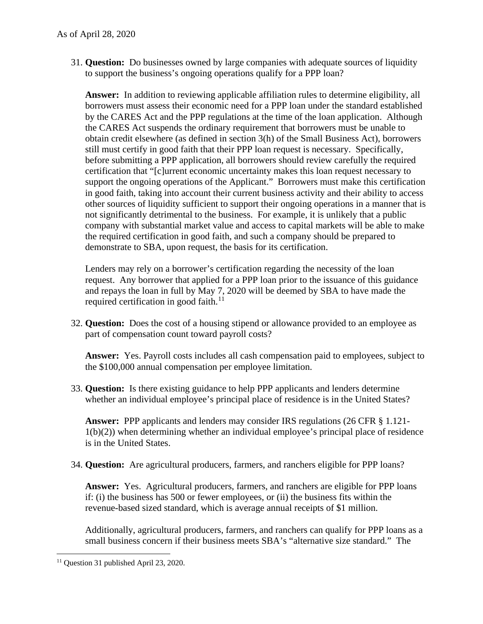31. **Question:** Do businesses owned by large companies with adequate sources of liquidity to support the business's ongoing operations qualify for a PPP loan?

**Answer:** In addition to reviewing applicable affiliation rules to determine eligibility, all borrowers must assess their economic need for a PPP loan under the standard established by the CARES Act and the PPP regulations at the time of the loan application. Although the CARES Act suspends the ordinary requirement that borrowers must be unable to obtain credit elsewhere (as defined in section 3(h) of the Small Business Act), borrowers still must certify in good faith that their PPP loan request is necessary. Specifically, before submitting a PPP application, all borrowers should review carefully the required certification that "[c]urrent economic uncertainty makes this loan request necessary to support the ongoing operations of the Applicant." Borrowers must make this certification in good faith, taking into account their current business activity and their ability to access other sources of liquidity sufficient to support their ongoing operations in a manner that is not significantly detrimental to the business. For example, it is unlikely that a public company with substantial market value and access to capital markets will be able to make the required certification in good faith, and such a company should be prepared to demonstrate to SBA, upon request, the basis for its certification.

Lenders may rely on a borrower's certification regarding the necessity of the loan request. Any borrower that applied for a PPP loan prior to the issuance of this guidance and repays the loan in full by May 7, 2020 will be deemed by SBA to have made the required certification in good faith. $11$ 

32. **Question:** Does the cost of a housing stipend or allowance provided to an employee as part of compensation count toward payroll costs?

**Answer:** Yes. Payroll costs includes all cash compensation paid to employees, subject to the \$100,000 annual compensation per employee limitation.

33. **Question:** Is there existing guidance to help PPP applicants and lenders determine whether an individual employee's principal place of residence is in the United States?

**Answer:** PPP applicants and lenders may consider IRS regulations (26 CFR § 1.121-  $1(b)(2)$ ) when determining whether an individual employee's principal place of residence is in the United States.

34. **Question:** Are agricultural producers, farmers, and ranchers eligible for PPP loans?

**Answer:** Yes.Agricultural producers, farmers, and ranchers are eligible for PPP loans if: (i) the business has 500 or fewer employees, or (ii) the business fits within the revenue-based sized standard, which is average annual receipts of \$1 million.

Additionally, agricultural producers, farmers, and ranchers can qualify for PPP loans as a small business concern if their business meets SBA's "alternative size standard." The

<span id="page-10-0"></span>l <sup>11</sup> Question 31 published April 23, 2020.